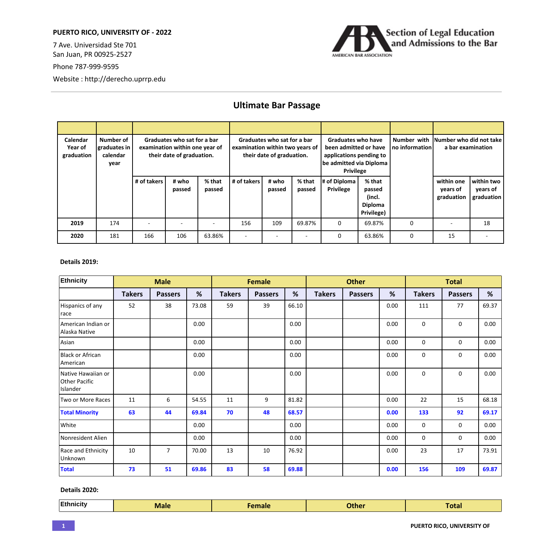## **PUERTO RICO, UNIVERSITY OF - 2022**

7 Ave. Universidad Ste 701 San Juan, PR 00925-2527

Phone 787-999-9595

Website : http://derecho.uprrp.edu



## **Ultimate Bar Passage**

| Calendar<br>Year of<br>graduation | Number of<br>graduates in<br>calendar<br>year |             | Graduates who sat for a bar<br>examination within one year of<br>their date of graduation. |                  | examination within two years of | Graduates who sat for a bar<br>their date of graduation. |                    | <b>Graduates who have</b><br>been admitted or have<br>applications pending to<br>be admitted via Diploma<br><b>Privilege</b> |                                                     | Number with<br>no information | Number who did not take<br>a bar examination |                                      |
|-----------------------------------|-----------------------------------------------|-------------|--------------------------------------------------------------------------------------------|------------------|---------------------------------|----------------------------------------------------------|--------------------|------------------------------------------------------------------------------------------------------------------------------|-----------------------------------------------------|-------------------------------|----------------------------------------------|--------------------------------------|
|                                   |                                               | # of takers | # who<br>passed                                                                            | % that<br>passed | # of takers                     | # who<br>passed                                          | $%$ that<br>passed | # of Diploma<br><b>Privilege</b>                                                                                             | % that<br>passed<br>(incl.<br>Diploma<br>Privilege) |                               | within one<br>years of<br>graduation         | within two<br>years of<br>graduation |
| 2019                              | 174                                           |             |                                                                                            |                  | 156                             | 109                                                      | 69.87%             | $\Omega$                                                                                                                     | 69.87%                                              | $\Omega$                      |                                              | 18                                   |
| 2020                              | 181                                           | 166         | 106                                                                                        | 63.86%           |                                 |                                                          |                    | $\Omega$                                                                                                                     | 63.86%                                              | $\Omega$                      | 15                                           |                                      |

## **Details 2019:**

| Ethnicity                                              |               | <b>Male</b>    |       | Female        |                |       | <b>Other</b>  |                |      | <b>Total</b>  |                |       |
|--------------------------------------------------------|---------------|----------------|-------|---------------|----------------|-------|---------------|----------------|------|---------------|----------------|-------|
|                                                        | <b>Takers</b> | <b>Passers</b> | %     | <b>Takers</b> | <b>Passers</b> | %     | <b>Takers</b> | <b>Passers</b> | %    | <b>Takers</b> | <b>Passers</b> | %     |
| Hispanics of any<br>race                               | 52            | 38             | 73.08 | 59            | 39             | 66.10 |               |                | 0.00 | 111           | 77             | 69.37 |
| American Indian or<br>Alaska Native                    |               |                | 0.00  |               |                | 0.00  |               |                | 0.00 | $\mathbf 0$   | 0              | 0.00  |
| Asian                                                  |               |                | 0.00  |               |                | 0.00  |               |                | 0.00 | $\mathbf 0$   | $\mathbf 0$    | 0.00  |
| Black or African<br>American                           |               |                | 0.00  |               |                | 0.00  |               |                | 0.00 | $\mathbf 0$   | 0              | 0.00  |
| Native Hawaiian or<br><b>Other Pacific</b><br>Islander |               |                | 0.00  |               |                | 0.00  |               |                | 0.00 | $\mathbf 0$   | 0              | 0.00  |
| Two or More Races                                      | 11            | 6              | 54.55 | 11            | 9              | 81.82 |               |                | 0.00 | 22            | 15             | 68.18 |
| <b>Total Minority</b>                                  | 63            | 44             | 69.84 | 70            | 48             | 68.57 |               |                | 0.00 | 133           | 92             | 69.17 |
| White                                                  |               |                | 0.00  |               |                | 0.00  |               |                | 0.00 | $\mathbf 0$   | 0              | 0.00  |
| Nonresident Alien                                      |               |                | 0.00  |               |                | 0.00  |               |                | 0.00 | $\mathbf 0$   | 0              | 0.00  |
| Race and Ethnicity<br>Unknown                          | 10            | $\overline{7}$ | 70.00 | 13            | 10             | 76.92 |               |                | 0.00 | 23            | 17             | 73.91 |
| <b>Total</b>                                           | 73            | 51             | 69.86 | 83            | 58             | 69.88 |               |                | 0.00 | 156           | 109            | 69.87 |

**Details 2020:**

| <b>Ethnicity</b><br>Male<br>Other<br><b>Amale</b><br>отаг |
|-----------------------------------------------------------|
|-----------------------------------------------------------|